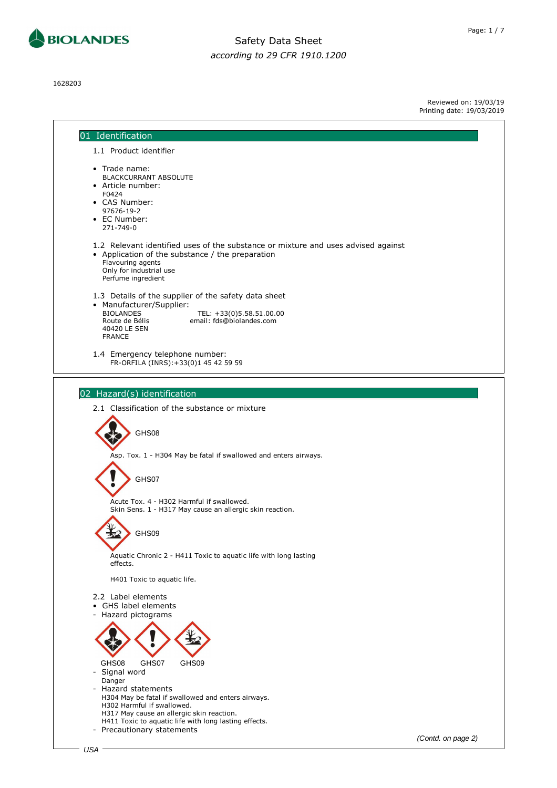

1628203

**BIOLANDES** 

Reviewed on: 19/03/19 Printing date: 19/03/2019

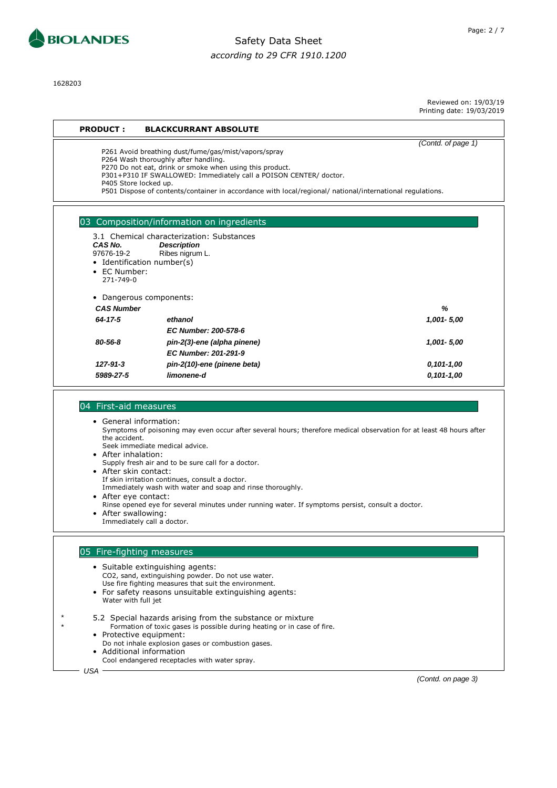

1628203

Reviewed on: 19/03/19

Printing date: 19/03/2019

(Contd. of page 1)

# **PRODUCT : BLACKCURRANT ABSOLUTE**

P261 Avoid breathing dust/fume/gas/mist/vapors/spray

P264 Wash thoroughly after handling.

P270 Do not eat, drink or smoke when using this product.

P301+P310 IF SWALLOWED: Immediately call a POISON CENTER/ doctor.

P405 Store locked up.

P501 Dispose of contents/container in accordance with local/regional/ national/international regulations.

#### 03 Composition/information on ingredients

|                            | 3.1 Chemical characterization: Substances |                |
|----------------------------|-------------------------------------------|----------------|
| CAS No.                    | <b>Description</b>                        |                |
| 97676-19-2                 | Ribes nigrum L.                           |                |
| • Identification number(s) |                                           |                |
| $\bullet$ EC Number:       |                                           |                |
| 271-749-0                  |                                           |                |
| • Dangerous components:    |                                           |                |
| <b>CAS Number</b>          |                                           | ℅              |
| 64-17-5                    | ethanol                                   | 1,001 - 5,00   |
|                            | EC Number: 200-578-6                      |                |
| 80-56-8                    | pin-2(3)-ene (alpha pinene)               | 1,001 - 5,00   |
|                            | EC Number: 201-291-9                      |                |
| $127 - 91 - 3$             | pin-2(10)-ene (pinene beta)               | 0,101-1,00     |
| 5989-27-5                  | limonene-d                                | $0,101 - 1,00$ |
|                            |                                           |                |

#### 04 First-aid measures

• General information: Symptoms of poisoning may even occur after several hours; therefore medical observation for at least 48 hours after the accident. Seek immediate medical advice.

• After inhalation:

Supply fresh air and to be sure call for a doctor.

- After skin contact:
- If skin irritation continues, consult a doctor. Immediately wash with water and soap and rinse thoroughly.
- After eye contact:
- Rinse opened eye for several minutes under running water. If symptoms persist, consult a doctor.
- After swallowing:
- Immediately call a doctor.

#### 05 Fire-fighting measures

• Suitable extinguishing agents: CO2, sand, extinguishing powder. Do not use water. Use fire fighting measures that suit the environment. • For safety reasons unsuitable extinguishing agents: Water with full jet

- \* 5.2 Special hazards arising from the substance or mixture Formation of toxic gases is possible during heating or in case of fire.
	- Protective equipment:
	- Do not inhale explosion gases or combustion gases. • Additional information
	- Cool endangered receptacles with water spray.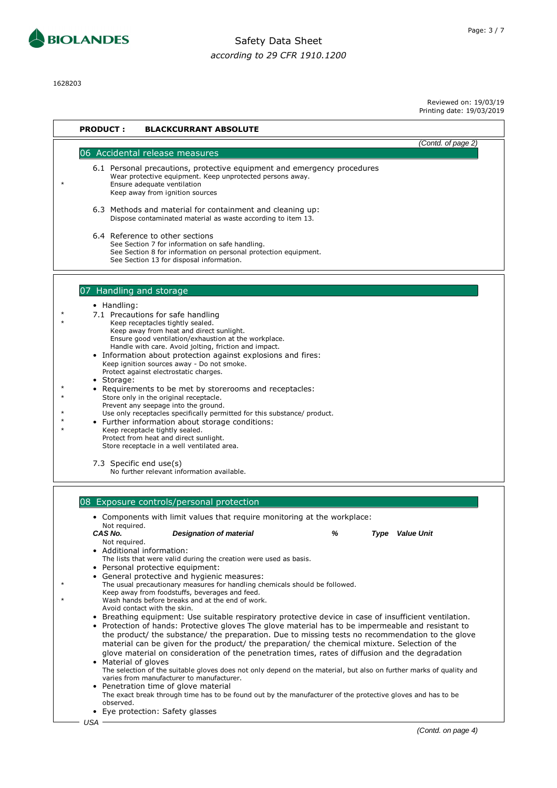

1628203

Reviewed on: 19/03/19

Printing date: 19/03/2019

| <b>PRODUCT:</b><br><b>BLACKCURRANT ABSOLUTE</b>                                                                                                                                                                                                                                                                                                                                                                                                                                                                                                                                                                                                                                                                                                                                                                                                                                                                                                                                                                                                                                                                                                                                                                                                                                                                                                                                                                                                                                                                                                                                          |
|------------------------------------------------------------------------------------------------------------------------------------------------------------------------------------------------------------------------------------------------------------------------------------------------------------------------------------------------------------------------------------------------------------------------------------------------------------------------------------------------------------------------------------------------------------------------------------------------------------------------------------------------------------------------------------------------------------------------------------------------------------------------------------------------------------------------------------------------------------------------------------------------------------------------------------------------------------------------------------------------------------------------------------------------------------------------------------------------------------------------------------------------------------------------------------------------------------------------------------------------------------------------------------------------------------------------------------------------------------------------------------------------------------------------------------------------------------------------------------------------------------------------------------------------------------------------------------------|
| (Contd. of page 2)<br>06 Accidental release measures                                                                                                                                                                                                                                                                                                                                                                                                                                                                                                                                                                                                                                                                                                                                                                                                                                                                                                                                                                                                                                                                                                                                                                                                                                                                                                                                                                                                                                                                                                                                     |
| 6.1 Personal precautions, protective equipment and emergency procedures<br>Wear protective equipment. Keep unprotected persons away.<br>Ensure adequate ventilation<br>Keep away from ignition sources<br>6.3 Methods and material for containment and cleaning up:<br>Dispose contaminated material as waste according to item 13.<br>6.4 Reference to other sections<br>See Section 7 for information on safe handling.<br>See Section 8 for information on personal protection equipment.<br>See Section 13 for disposal information.                                                                                                                                                                                                                                                                                                                                                                                                                                                                                                                                                                                                                                                                                                                                                                                                                                                                                                                                                                                                                                                 |
|                                                                                                                                                                                                                                                                                                                                                                                                                                                                                                                                                                                                                                                                                                                                                                                                                                                                                                                                                                                                                                                                                                                                                                                                                                                                                                                                                                                                                                                                                                                                                                                          |
| 07 Handling and storage<br>• Handling:<br>7.1 Precautions for safe handling<br>Keep receptacles tightly sealed.<br>Keep away from heat and direct sunlight.<br>Ensure good ventilation/exhaustion at the workplace.<br>Handle with care. Avoid jolting, friction and impact.<br>• Information about protection against explosions and fires:<br>Keep ignition sources away - Do not smoke.<br>Protect against electrostatic charges.<br>Storage:<br>Requirements to be met by storerooms and receptacles:<br>Store only in the original receptacle.<br>Prevent any seepage into the ground.<br>Use only receptacles specifically permitted for this substance/ product.<br>• Further information about storage conditions:<br>Keep receptacle tightly sealed.<br>Protect from heat and direct sunlight.<br>Store receptacle in a well ventilated area.<br>7.3 Specific end use(s)<br>No further relevant information available.                                                                                                                                                                                                                                                                                                                                                                                                                                                                                                                                                                                                                                                          |
| 08 Exposure controls/personal protection<br>Components with limit values that require monitoring at the workplace:<br>Not required.<br>CAS No.<br><b>Designation of material</b><br>℅<br><b>Type</b> Value Unit<br>Not required.<br>Additional information:<br>٠<br>The lists that were valid during the creation were used as basis.<br>Personal protective equipment:<br>٠<br>General protective and hygienic measures:<br>The usual precautionary measures for handling chemicals should be followed.<br>Keep away from foodstuffs, beverages and feed.<br>Wash hands before breaks and at the end of work.<br>Avoid contact with the skin.<br>Breathing equipment: Use suitable respiratory protective device in case of insufficient ventilation.<br>$\bullet$<br>Protection of hands: Protective gloves The glove material has to be impermeable and resistant to<br>٠<br>the product/ the substance/ the preparation. Due to missing tests no recommendation to the glove<br>material can be given for the product/ the preparation/ the chemical mixture. Selection of the<br>glove material on consideration of the penetration times, rates of diffusion and the degradation<br>Material of gloves<br>The selection of the suitable gloves does not only depend on the material, but also on further marks of quality and<br>varies from manufacturer to manufacturer.<br>• Penetration time of glove material<br>The exact break through time has to be found out by the manufacturer of the protective gloves and has to be<br>observed.<br>• Eye protection: Safety glasses |
| USA<br>(Contd. on page 4)                                                                                                                                                                                                                                                                                                                                                                                                                                                                                                                                                                                                                                                                                                                                                                                                                                                                                                                                                                                                                                                                                                                                                                                                                                                                                                                                                                                                                                                                                                                                                                |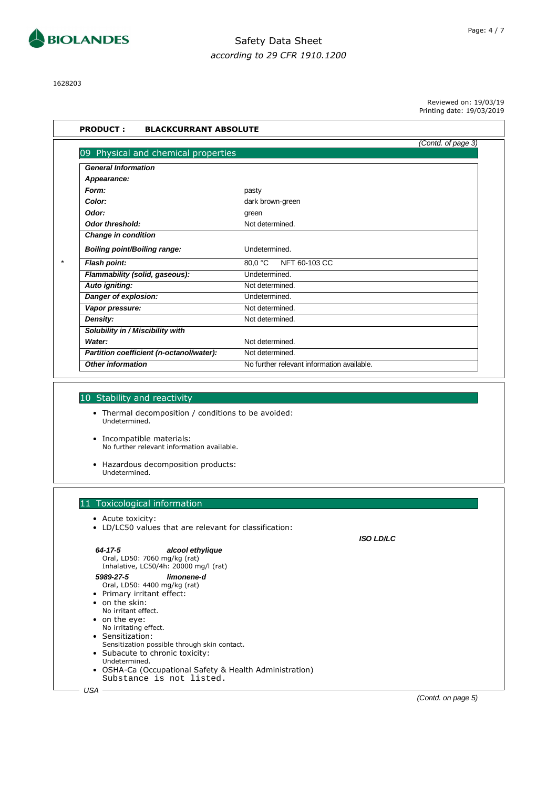

1628203

Reviewed on: 19/03/19 Printing date: 19/03/2019

|                                          | (Contd. of page 3)                         |  |
|------------------------------------------|--------------------------------------------|--|
| 09 Physical and chemical properties      |                                            |  |
| <b>General Information</b>               |                                            |  |
| Appearance:                              |                                            |  |
| Form:                                    | pasty                                      |  |
| Color:                                   | dark brown-green                           |  |
| Odor:                                    | green                                      |  |
| <b>Odor threshold:</b>                   | Not determined.                            |  |
| <b>Change in condition</b>               |                                            |  |
| <b>Boiling point/Boiling range:</b>      | Undetermined.                              |  |
| Flash point:                             | 80,0 °C<br>NFT 60-103 CC                   |  |
| Flammability (solid, gaseous):           | Undetermined.                              |  |
| Auto igniting:                           | Not determined.                            |  |
| Danger of explosion:                     | Undetermined.                              |  |
| Vapor pressure:                          | Not determined.                            |  |
| Density:                                 | Not determined.                            |  |
| Solubility in / Miscibility with         |                                            |  |
| Water:                                   | Not determined.                            |  |
| Partition coefficient (n-octanol/water): | Not determined.                            |  |
| <b>Other information</b>                 | No further relevant information available. |  |
|                                          |                                            |  |

- Thermal decomposition / conditions to be avoided: Undetermined.
- Incompatible materials: No further relevant information available.
- Hazardous decomposition products: Undetermined.

### 11 Toxicological information

- Acute toxicity:
- LD/LC50 values that are relevant for classification:

| Oral, LD50: 7060 mg/kg (rat)<br>Inhalative, LC50/4h: 20000 mg/l (rat)                                                                                                                                                                                                                                                                                                                           |  |
|-------------------------------------------------------------------------------------------------------------------------------------------------------------------------------------------------------------------------------------------------------------------------------------------------------------------------------------------------------------------------------------------------|--|
| 5989-27-5<br>limonene-d<br>Oral, LD50: 4400 mg/kg (rat)<br>• Primary irritant effect:<br>• on the skin:<br>No irritant effect.<br>$\bullet$ on the eye:<br>No irritating effect.<br>• Sensitization:<br>Sensitization possible through skin contact.<br>• Subacute to chronic toxicity:<br>Undetermined.<br>• OSHA-Ca (Occupational Safety & Health Administration)<br>Substance is not listed. |  |

(Contd. on page 5)

**ISO LD/LC**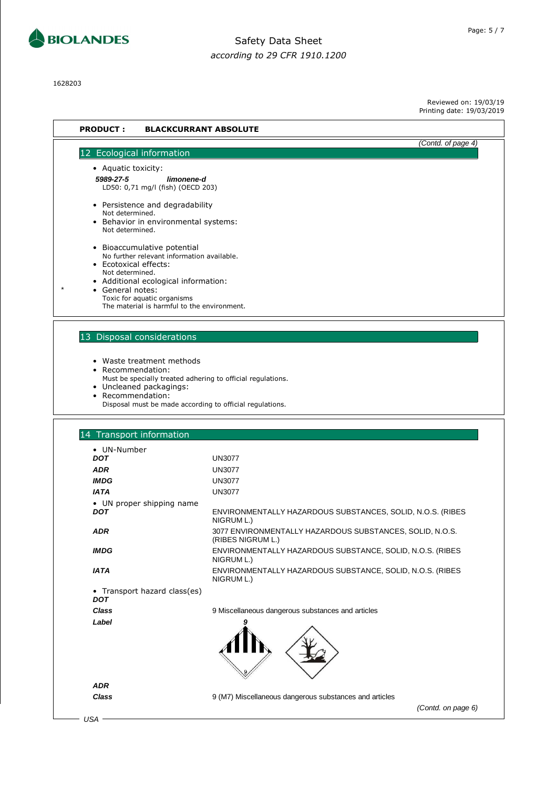

1628203

Reviewed on: 19/03/19 Printing date: 19/03/2019

(Contd. on page 6)

| <b>PRODUCT:</b>                                                                                                                                                                                                                                               | <b>BLACKCURRANT ABSOLUTE</b>                                                  |  |  |
|---------------------------------------------------------------------------------------------------------------------------------------------------------------------------------------------------------------------------------------------------------------|-------------------------------------------------------------------------------|--|--|
|                                                                                                                                                                                                                                                               | (Contd. of page 4)                                                            |  |  |
| 12 Ecological information                                                                                                                                                                                                                                     |                                                                               |  |  |
| • Aquatic toxicity:<br>5989-27-5<br>limonene-d<br>LD50: 0,71 mg/l (fish) (OECD 203)                                                                                                                                                                           |                                                                               |  |  |
| • Persistence and degradability<br>Not determined.<br>• Behavior in environmental systems:<br>Not determined.                                                                                                                                                 |                                                                               |  |  |
| • Bioaccumulative potential<br>No further relevant information available.<br>• Ecotoxical effects:<br>Not determined.<br>Additional ecological information:<br>• General notes:<br>Toxic for aquatic organisms<br>The material is harmful to the environment. |                                                                               |  |  |
| 13 Disposal considerations                                                                                                                                                                                                                                    |                                                                               |  |  |
| • Waste treatment methods<br>• Recommendation:<br>Must be specially treated adhering to official regulations.<br>• Uncleaned packagings:<br>• Recommendation:<br>Disposal must be made according to official regulations.                                     |                                                                               |  |  |
| 14 Transport information                                                                                                                                                                                                                                      |                                                                               |  |  |
| • UN-Number                                                                                                                                                                                                                                                   |                                                                               |  |  |
| <b>DOT</b>                                                                                                                                                                                                                                                    | <b>UN3077</b>                                                                 |  |  |
| <b>ADR</b>                                                                                                                                                                                                                                                    | <b>UN3077</b>                                                                 |  |  |
| <b>IMDG</b>                                                                                                                                                                                                                                                   | <b>UN3077</b>                                                                 |  |  |
| <b>IATA</b>                                                                                                                                                                                                                                                   | <b>UN3077</b>                                                                 |  |  |
| • UN proper shipping name<br><b>DOT</b>                                                                                                                                                                                                                       | ENVIRONMENTALLY HAZARDOUS SUBSTANCES, SOLID, N.O.S. (RIBES<br>NIGRUM L.)      |  |  |
| <b>ADR</b>                                                                                                                                                                                                                                                    | 3077 ENVIRONMENTALLY HAZARDOUS SUBSTANCES, SOLID, N.O.S.<br>(RIBES NIGRUM L.) |  |  |
| <b>IMDG</b>                                                                                                                                                                                                                                                   | ENVIRONMENTALLY HAZARDOUS SUBSTANCE, SOLID, N.O.S. (RIBES<br>NIGRUM L.)       |  |  |
| <b>IATA</b>                                                                                                                                                                                                                                                   | ENVIRONMENTALLY HAZARDOUS SUBSTANCE, SOLID, N.O.S. (RIBES<br>NIGRUM L.)       |  |  |
| • Transport hazard class(es)<br><b>DOT</b>                                                                                                                                                                                                                    |                                                                               |  |  |
| <b>Class</b>                                                                                                                                                                                                                                                  | 9 Miscellaneous dangerous substances and articles                             |  |  |
| Label                                                                                                                                                                                                                                                         |                                                                               |  |  |
| <b>ADR</b>                                                                                                                                                                                                                                                    |                                                                               |  |  |
| Class                                                                                                                                                                                                                                                         | 9 (M7) Miscellaneous dangerous substances and articles                        |  |  |

 $-USA$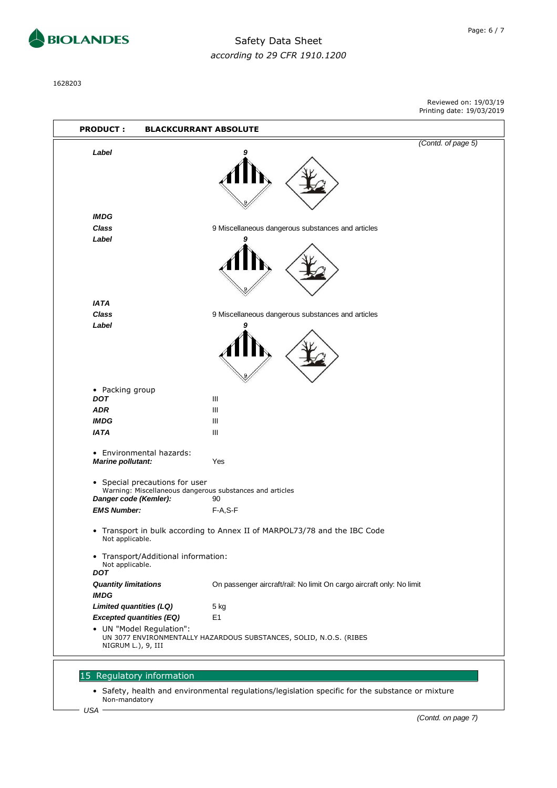

**IMDG**

**Label 9**

**IATA**

**Label 9**

• Packing group

### Safety Data Sheet *according to 29 CFR 1910.1200*

1628203

Reviewed on: 19/03/19 Printing date: 19/03/2019 **PRODUCT : BLACKCURRANT ABSOLUTE** (Contd. of page 5) **Label 9 Class** 9 Miscellaneous dangerous substances and articles **Class** 9 Miscellaneous dangerous substances and articles **DOT ADR** III **IMDG** III **IATA** III • Environmental hazards: **Marine pollutant:** Yes • Special precautions for user Warning: Miscellaneous dangerous substances and articles **Danger code (Kemler):** 90

- Transport in bulk according to Annex II of MARPOL73/78 and the IBC Code Not applicable.
- Transport/Additional information: Not applicable. **DOT Quantity limitations** On passenger aircraft/rail: No limit On cargo aircraft only: No limit **IMDG Limited quantities (LQ)** 5 kg **Excepted quantities (EQ)** E1 • UN "Model Regulation": UN 3077 ENVIRONMENTALLY HAZARDOUS SUBSTANCES, SOLID, N.O.S. (RIBES NIGRUM L.), 9, III

#### 15 Regulatory information

**EMS Number:** F-A,S-F

• Safety, health and environmental regulations/legislation specific for the substance or mixture Non-mandatory